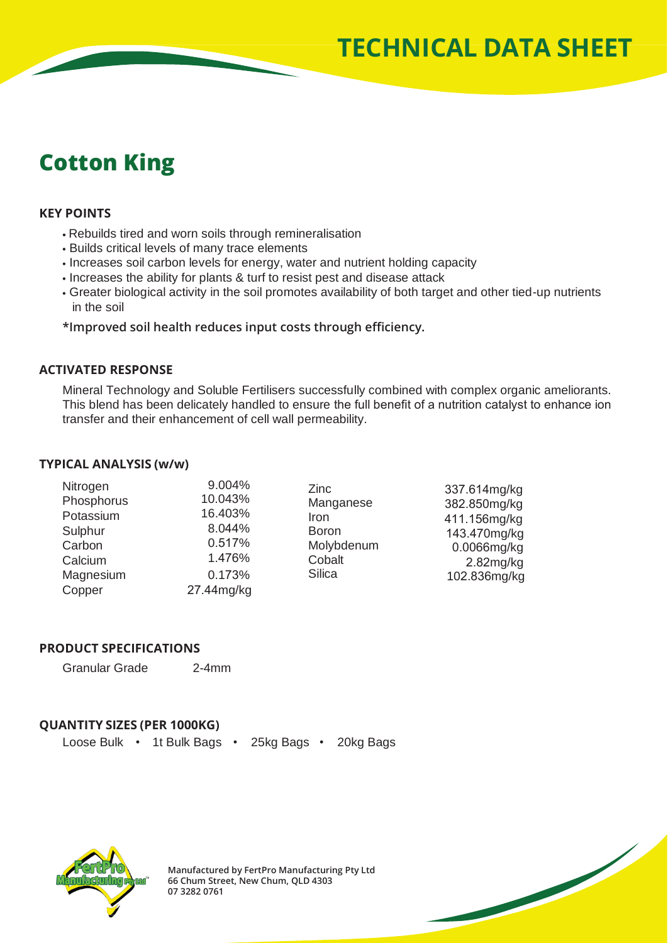# **Cotton King**

### **KEY POINTS**

- Rebuilds tired and worn soils through remineralisation
- Builds critical levels of many trace elements
- $\cdot$  Increases soil carbon levels for energy, water and nutrient holding capacity
- Increases the ability for plants & turf to resist pest and disease attack
- Greater biological activity in the soil promotes availability of both target and other tied-up nutrients in the soil

**\*Improved soil health reduces input costs through efficiency.**

### **ACTIVATED RESPONSE**

Mineral Technology and Soluble Fertilisers successfully combined with complex organic ameliorants. This blend has been delicately handled to ensure the full benefit of a nutrition catalyst to enhance ion transfer and their enhancement of cell wall permeability.

#### **TYPICAL ANALYSIS (w/w)**

| Nitrogen   | 9.004%     | Zinc                                                                       | 337.614mg/kg                                                                                |
|------------|------------|----------------------------------------------------------------------------|---------------------------------------------------------------------------------------------|
| Phosphorus | 10.043%    | Manganese<br>Iron<br><b>Boron</b><br>Molybdenum<br>Cobalt<br><b>Silica</b> | 382.850mg/kg<br>411.156mg/kg<br>143.470mg/kg<br>0.0066mg/kg<br>$2.82$ mg/kg<br>102.836mg/kg |
| Potassium  | 16.403%    |                                                                            |                                                                                             |
| Sulphur    | 8.044%     |                                                                            |                                                                                             |
| Carbon     | 0.517%     |                                                                            |                                                                                             |
| Calcium    | 1.476%     |                                                                            |                                                                                             |
| Magnesium  | 0.173%     |                                                                            |                                                                                             |
| Copper     | 27.44mg/kg |                                                                            |                                                                                             |

#### **PRODUCT SPECIFICATIONS**

Granular Grade 2-4mm

## **QUANTITY SIZES (PER 1000KG)**

Loose Bulk • 1t Bulk Bags • 25kg Bags • 20kg Bags



**Manufactured by FertPro Manufacturing Pty Ltd 66 Chum Street, New Chum, QLD 4303 07 3282 0761**